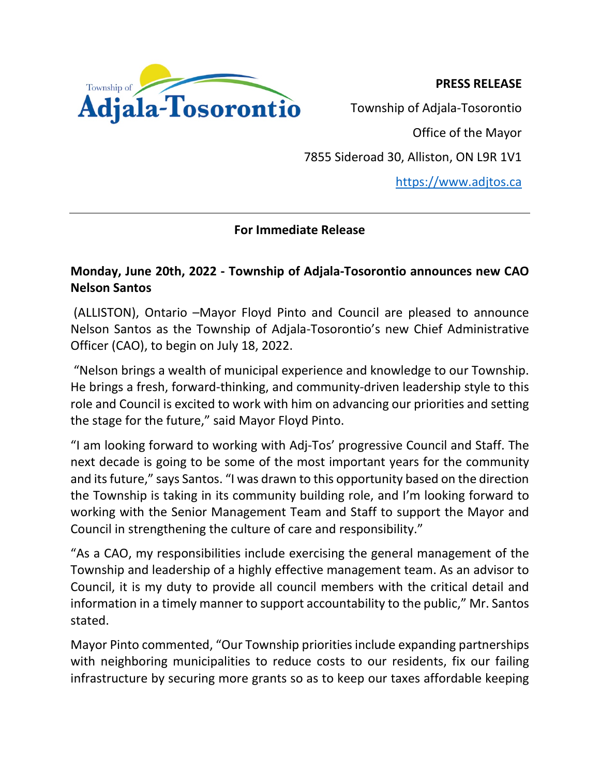**PRESS RELEASE**



Township of Adjala-Tosorontio

Office of the Mayor

7855 Sideroad 30, Alliston, ON L9R 1V1

[https://www.adjtos.ca](https://www.adjtos.ca/)

## **For Immediate Release**

## **Monday, June 20th, 2022 - Township of Adjala-Tosorontio announces new CAO Nelson Santos**

(ALLISTON), Ontario –Mayor Floyd Pinto and Council are pleased to announce Nelson Santos as the Township of Adjala-Tosorontio's new Chief Administrative Officer (CAO), to begin on July 18, 2022.

"Nelson brings a wealth of municipal experience and knowledge to our Township. He brings a fresh, forward-thinking, and community-driven leadership style to this role and Council is excited to work with him on advancing our priorities and setting the stage for the future," said Mayor Floyd Pinto.

"I am looking forward to working with Adj-Tos' progressive Council and Staff. The next decade is going to be some of the most important years for the community and its future," says Santos. "I was drawn to this opportunity based on the direction the Township is taking in its community building role, and I'm looking forward to working with the Senior Management Team and Staff to support the Mayor and Council in strengthening the culture of care and responsibility."

"As a CAO, my responsibilities include exercising the general management of the Township and leadership of a highly effective management team. As an advisor to Council, it is my duty to provide all council members with the critical detail and information in a timely manner to support accountability to the public," Mr. Santos stated.

Mayor Pinto commented, "Our Township priorities include expanding partnerships with neighboring municipalities to reduce costs to our residents, fix our failing infrastructure by securing more grants so as to keep our taxes affordable keeping